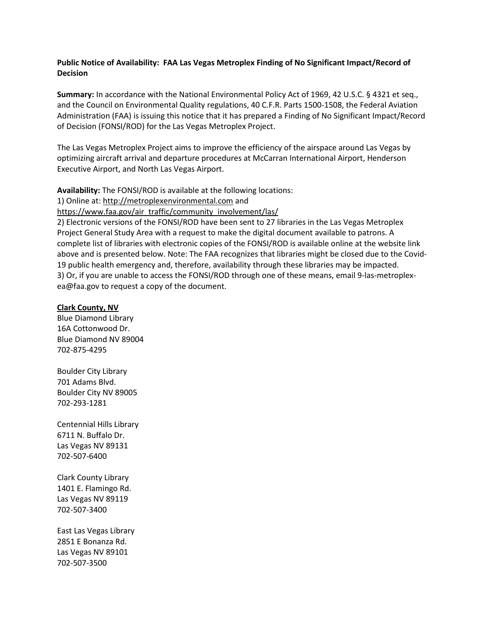# **Public Notice of Availability: FAA Las Vegas Metroplex Finding of No Significant Impact/Record of Decision**

**Summary:** In accordance with the National Environmental Policy Act of 1969, 42 U.S.C. § 4321 et seq., and the Council on Environmental Quality regulations, 40 C.F.R. Parts 1500-1508, the Federal Aviation Administration (FAA) is issuing this notice that it has prepared a Finding of No Significant Impact/Record of Decision (FONSI/ROD) for the Las Vegas Metroplex Project.

The Las Vegas Metroplex Project aims to improve the efficiency of the airspace around Las Vegas by optimizing aircraft arrival and departure procedures at McCarran International Airport, Henderson Executive Airport, and North Las Vegas Airport.

**Availability:** The FONSI/ROD is available at the following locations:

1) Online at[: http://metroplexenvironmental.com](http://metroplexenvironmental.com/) and

[https://www.faa.gov/air\\_traffic/community\\_involvement/las/](https://www.faa.gov/air_traffic/community_involvement/las/)

2) Electronic versions of the FONSI/ROD have been sent to 27 libraries in the Las Vegas Metroplex Project General Study Area with a request to make the digital document available to patrons. A complete list of libraries with electronic copies of the FONSI/ROD is available online at the website link above and is presented below. Note: The FAA recognizes that libraries might be closed due to the Covid-19 public health emergency and, therefore, availability through these libraries may be impacted. 3) Or, if you are unable to access the FONSI/ROD through one of these means, email 9-las-metroplexea@faa.gov to request a copy of the document.

## **Clark County, NV**

Blue Diamond Library 16A Cottonwood Dr. Blue Diamond NV 89004 702-875-4295

Boulder City Library 701 Adams Blvd. Boulder City NV 89005 702-293-1281

Centennial Hills Library 6711 N. Buffalo Dr. Las Vegas NV 89131 702-507-6400

Clark County Library 1401 E. Flamingo Rd. Las Vegas NV 89119 702-507-3400

East Las Vegas Library 2851 E Bonanza Rd. Las Vegas NV 89101 702-507-3500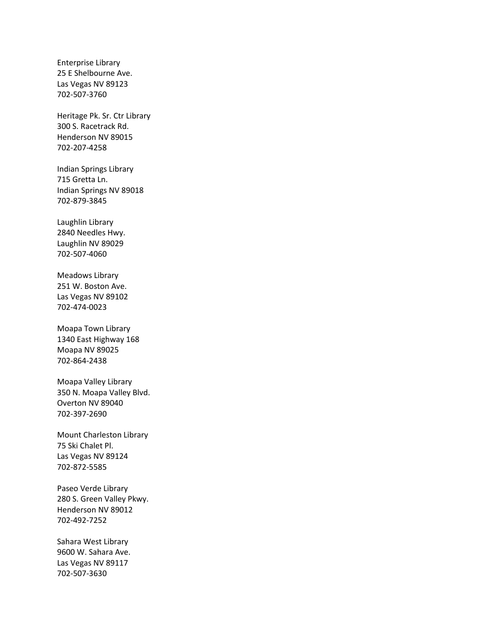Enterprise Library 25 E Shelbourne Ave. Las Vegas NV 89123 702-507-3760

Heritage Pk. Sr. Ctr Library 300 S. Racetrack Rd. Henderson NV 89015 702-207-4258

Indian Springs Library 715 Gretta Ln. Indian Springs NV 89018 702-879-3845

Laughlin Library 2840 Needles Hwy. Laughlin NV 89029 702-507-4060

Meadows Library 251 W. Boston Ave. Las Vegas NV 89102 702-474-0023

Moapa Town Library 1340 East Highway 168 Moapa NV 89025 702-864-2438

Moapa Valley Library 350 N. Moapa Valley Blvd. Overton NV 89040 702-397-2690

Mount Charleston Library 75 Ski Chalet Pl. Las Vegas NV 89124 702-872-5585

Paseo Verde Library 280 S. Green Valley Pkwy. Henderson NV 89012 702-492-7252

Sahara West Library 9600 W. Sahara Ave. Las Vegas NV 89117 702-507-3630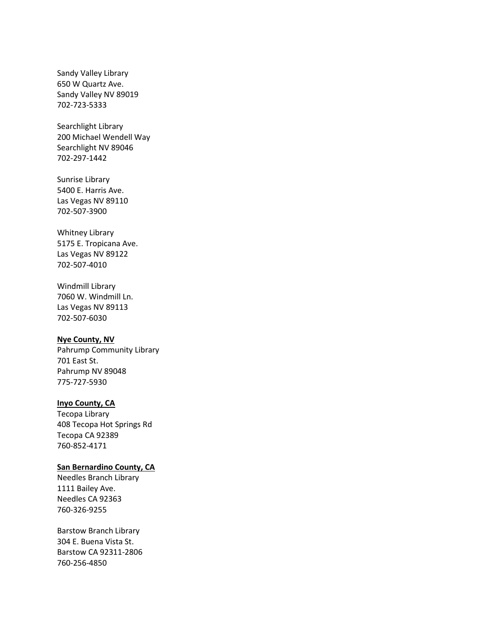Sandy Valley Library 650 W Quartz Ave. Sandy Valley NV 89019 702-723-5333

Searchlight Library 200 Michael Wendell Way Searchlight NV 89046 702-297-1442

Sunrise Library 5400 E. Harris Ave. Las Vegas NV 89110 702-507-3900

Whitney Library 5175 E. Tropicana Ave. Las Vegas NV 89122 702-507-4010

Windmill Library 7060 W. Windmill Ln. Las Vegas NV 89113 702-507-6030

#### **Nye County, NV**

Pahrump Community Library 701 East St. Pahrump NV 89048 775-727-5930

### **Inyo County, CA**

Tecopa Library 408 Tecopa Hot Springs Rd Tecopa CA 92389 760-852-4171

#### **San Bernardino County, CA**

Needles Branch Library 1111 Bailey Ave. Needles CA 92363 760-326-9255

Barstow Branch Library 304 E. Buena Vista St. Barstow CA 92311-2806 760-256-4850